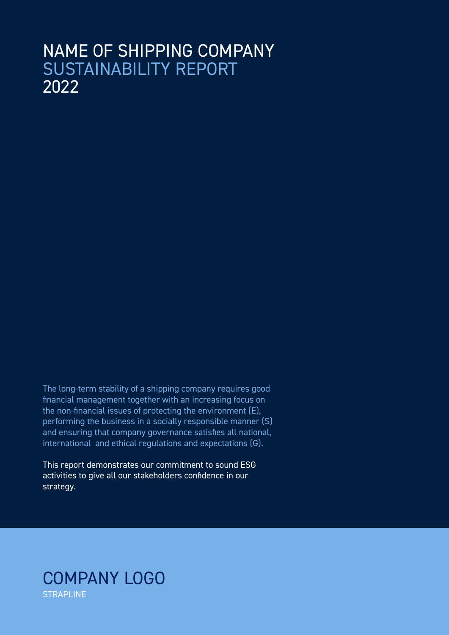# NAME OF SHIPPING COMPANY SUSTAINABILITY REPORT 2022

The long-term stability of a shipping company requires good financial management together with an increasing focus on the non-financial issues of protecting the environment (E), performing the business in a socially responsible manner (S) and ensuring that company governance satisfies all national, international and ethical regulations and expectations (G).

This report demonstrates our commitment to sound ESG activities to give all our stakeholders confidence in our strategy.

## COMPANY LOGO **STRAPLINE**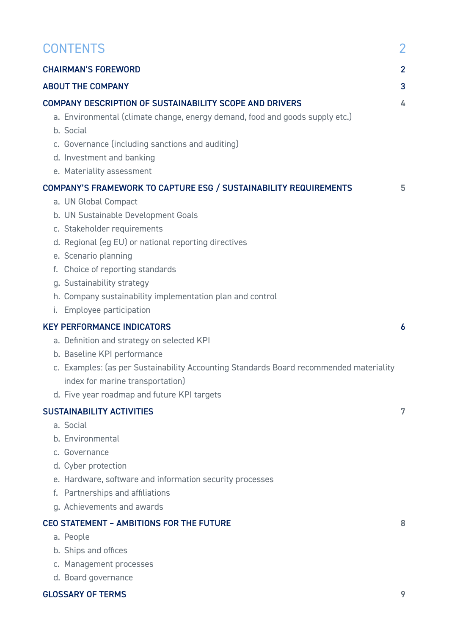| <b>CONTENTS</b><br>$\overline{2}$<br><b>CHAIRMAN'S FOREWORD</b><br>$\overline{2}$<br><b>ABOUT THE COMPANY</b><br>3<br>COMPANY DESCRIPTION OF SUSTAINABILITY SCOPE AND DRIVERS<br>4<br>a. Environmental (climate change, energy demand, food and goods supply etc.)<br>b. Social<br>c. Governance (including sanctions and auditing)<br>d. Investment and banking<br>e. Materiality assessment<br>COMPANY'S FRAMEWORK TO CAPTURE ESG / SUSTAINABILITY REQUIREMENTS<br>5<br>a. UN Global Compact<br>b. UN Sustainable Development Goals<br>c. Stakeholder requirements<br>d. Regional (eg EU) or national reporting directives<br>e. Scenario planning<br>f. Choice of reporting standards<br>g. Sustainability strategy<br>h. Company sustainability implementation plan and control<br>i. Employee participation<br><b>KEY PERFORMANCE INDICATORS</b><br>6<br>a. Definition and strategy on selected KPI<br>b. Baseline KPI performance<br>c. Examples: (as per Sustainability Accounting Standards Board recommended materiality<br>index for marine transportation)<br>d. Five year roadmap and future KPI targets<br><b>SUSTAINABILITY ACTIVITIES</b><br>7<br>a. Social<br>b. Environmental<br>c. Governance<br>d. Cyber protection<br>e. Hardware, software and information security processes<br>f. Partnerships and affiliations<br>g. Achievements and awards<br><b>CEO STATEMENT - AMBITIONS FOR THE FUTURE</b><br>8<br>a. People<br>b. Ships and offices<br>c. Management processes |  |                     |  |
|----------------------------------------------------------------------------------------------------------------------------------------------------------------------------------------------------------------------------------------------------------------------------------------------------------------------------------------------------------------------------------------------------------------------------------------------------------------------------------------------------------------------------------------------------------------------------------------------------------------------------------------------------------------------------------------------------------------------------------------------------------------------------------------------------------------------------------------------------------------------------------------------------------------------------------------------------------------------------------------------------------------------------------------------------------------------------------------------------------------------------------------------------------------------------------------------------------------------------------------------------------------------------------------------------------------------------------------------------------------------------------------------------------------------------------------------------------------------------------------------|--|---------------------|--|
|                                                                                                                                                                                                                                                                                                                                                                                                                                                                                                                                                                                                                                                                                                                                                                                                                                                                                                                                                                                                                                                                                                                                                                                                                                                                                                                                                                                                                                                                                              |  |                     |  |
|                                                                                                                                                                                                                                                                                                                                                                                                                                                                                                                                                                                                                                                                                                                                                                                                                                                                                                                                                                                                                                                                                                                                                                                                                                                                                                                                                                                                                                                                                              |  |                     |  |
|                                                                                                                                                                                                                                                                                                                                                                                                                                                                                                                                                                                                                                                                                                                                                                                                                                                                                                                                                                                                                                                                                                                                                                                                                                                                                                                                                                                                                                                                                              |  |                     |  |
|                                                                                                                                                                                                                                                                                                                                                                                                                                                                                                                                                                                                                                                                                                                                                                                                                                                                                                                                                                                                                                                                                                                                                                                                                                                                                                                                                                                                                                                                                              |  |                     |  |
|                                                                                                                                                                                                                                                                                                                                                                                                                                                                                                                                                                                                                                                                                                                                                                                                                                                                                                                                                                                                                                                                                                                                                                                                                                                                                                                                                                                                                                                                                              |  |                     |  |
|                                                                                                                                                                                                                                                                                                                                                                                                                                                                                                                                                                                                                                                                                                                                                                                                                                                                                                                                                                                                                                                                                                                                                                                                                                                                                                                                                                                                                                                                                              |  |                     |  |
|                                                                                                                                                                                                                                                                                                                                                                                                                                                                                                                                                                                                                                                                                                                                                                                                                                                                                                                                                                                                                                                                                                                                                                                                                                                                                                                                                                                                                                                                                              |  |                     |  |
|                                                                                                                                                                                                                                                                                                                                                                                                                                                                                                                                                                                                                                                                                                                                                                                                                                                                                                                                                                                                                                                                                                                                                                                                                                                                                                                                                                                                                                                                                              |  |                     |  |
|                                                                                                                                                                                                                                                                                                                                                                                                                                                                                                                                                                                                                                                                                                                                                                                                                                                                                                                                                                                                                                                                                                                                                                                                                                                                                                                                                                                                                                                                                              |  |                     |  |
|                                                                                                                                                                                                                                                                                                                                                                                                                                                                                                                                                                                                                                                                                                                                                                                                                                                                                                                                                                                                                                                                                                                                                                                                                                                                                                                                                                                                                                                                                              |  |                     |  |
|                                                                                                                                                                                                                                                                                                                                                                                                                                                                                                                                                                                                                                                                                                                                                                                                                                                                                                                                                                                                                                                                                                                                                                                                                                                                                                                                                                                                                                                                                              |  |                     |  |
|                                                                                                                                                                                                                                                                                                                                                                                                                                                                                                                                                                                                                                                                                                                                                                                                                                                                                                                                                                                                                                                                                                                                                                                                                                                                                                                                                                                                                                                                                              |  | d. Board governance |  |

## GLOSSARY OF TERMS 9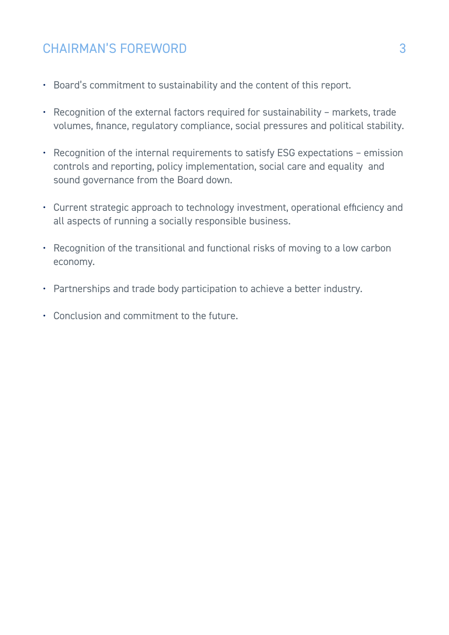## CHAIRMAN'S FOREWORD

- Board's commitment to sustainability and the content of this report.
- Recognition of the external factors required for sustainability markets, trade volumes, finance, regulatory compliance, social pressures and political stability.
- Recognition of the internal requirements to satisfy ESG expectations emission controls and reporting, policy implementation, social care and equality and sound governance from the Board down.
- Current strategic approach to technology investment, operational efficiency and all aspects of running a socially responsible business.
- Recognition of the transitional and functional risks of moving to a low carbon economy.
- Partnerships and trade body participation to achieve a better industry.
- Conclusion and commitment to the future.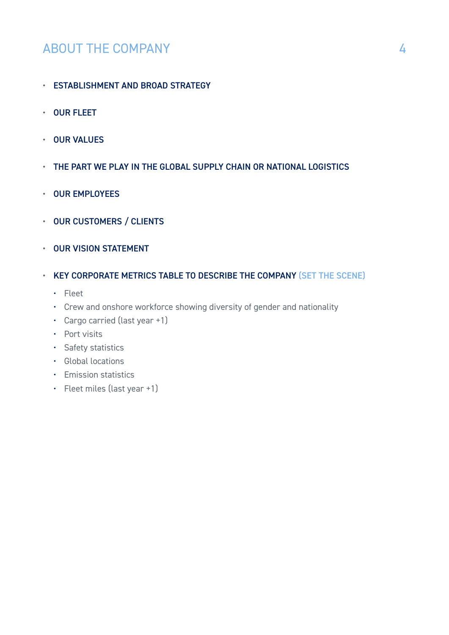## ABOUT THE COMPANY

- ESTABLISHMENT AND BROAD STRATEGY
- OUR FLEET
- OUR VALUES
- THE PART WE PLAY IN THE GLOBAL SUPPLY CHAIN OR NATIONAL LOGISTICS
- OUR EMPLOYEES
- OUR CUSTOMERS / CLIENTS
- OUR VISION STATEMENT
- KEY CORPORATE METRICS TABLE TO DESCRIBE THE COMPANY (SET THE SCENE)
	- Fleet
	- Crew and onshore workforce showing diversity of gender and nationality
	- Cargo carried (last year +1)
	- Port visits
	- Safety statistics
	- Global locations
	- Emission statistics
	- Fleet miles (last year +1)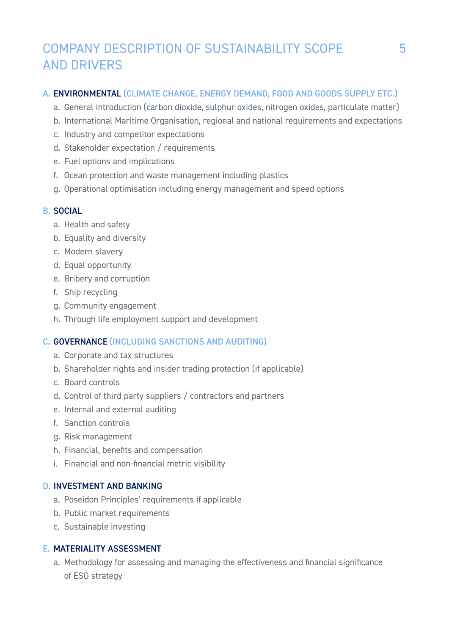## COMPANY DESCRIPTION OF SUSTAINABILITY SCOPE AND DRIVERS

## A. ENVIRONMENTAL (CLIMATE CHANGE, ENERGY DEMAND, FOOD AND GOODS SUPPLY ETC.)

- a. General introduction (carbon dioxide, sulphur oxides, nitrogen oxides, particulate matter)
- b. International Maritime Organisation, regional and national requirements and expectations
- c. Industry and competitor expectations
- d. Stakeholder expectation / requirements
- e. Fuel options and implications
- f. Ocean protection and waste management including plastics
- g. Operational optimisation including energy management and speed options

### B. SOCIAL

- a. Health and safety
- b. Equality and diversity
- c. Modern slavery
- d. Equal opportunity
- e. Bribery and corruption
- f. Ship recycling
- g. Community engagement
- h. Through life employment support and development

### C. GOVERNANCE (INCLUDING SANCTIONS AND AUDITING)

- a. Corporate and tax structures
- b. Shareholder rights and insider trading protection (if applicable)
- c. Board controls
- d. Control of third party suppliers / contractors and partners
- e. Internal and external auditing
- f. Sanction controls
- g. Risk management
- h. Financial, benefits and compensation
- i. Financial and non-financial metric visibility

#### D. INVESTMENT AND BANKING

- a. Poseidon Principles' requirements if applicable
- b. Public market requirements
- c. Sustainable investing

### E. MATERIALITY ASSESSMENT

a. Methodology for assessing and managing the effectiveness and financial significance of ESG strategy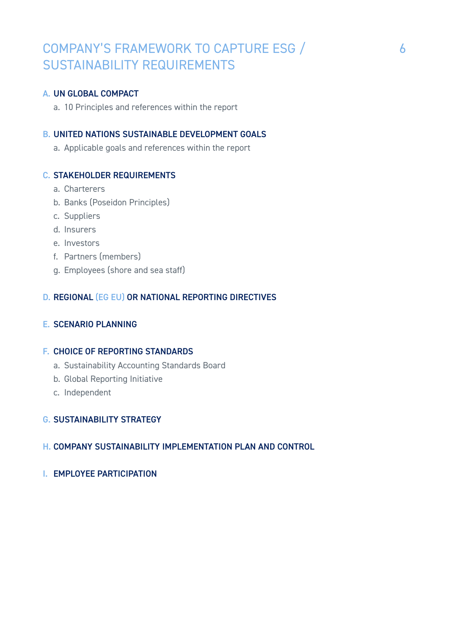## COMPANY'S FRAMEWORK TO CAPTURE ESG / SUSTAINABILITY REQUIREMENTS

#### A. UN GLOBAL COMPACT

a. 10 Principles and references within the report

### B. UNITED NATIONS SUSTAINABLE DEVELOPMENT GOALS

a. Applicable goals and references within the report

#### C. STAKEHOLDER REQUIREMENTS

- a. Charterers
- b. Banks (Poseidon Principles)
- c. Suppliers
- d. Insurers
- e. Investors
- f. Partners (members)
- g. Employees (shore and sea staff)

### D. REGIONAL (EG EU) OR NATIONAL REPORTING DIRECTIVES

#### E. SCENARIO PLANNING

### F. CHOICE OF REPORTING STANDARDS

- a. Sustainability Accounting Standards Board
- b. Global Reporting Initiative
- c. Independent

#### G. SUSTAINABILITY STRATEGY

#### H. COMPANY SUSTAINABILITY IMPLEMENTATION PLAN AND CONTROL

I. EMPLOYEE PARTICIPATION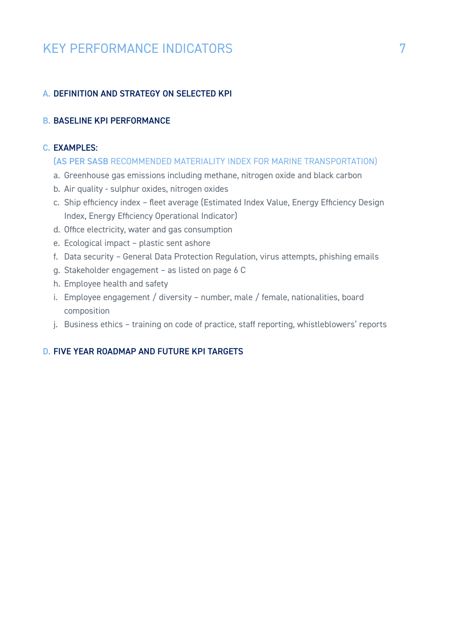## KEY PERFORMANCE INDICATORS

## A. DEFINITION AND STRATEGY ON SELECTED KPI

## B. BASELINE KPI PERFORMANCE

## C. EXAMPLES:

#### (AS PER SASB RECOMMENDED MATERIALITY INDEX FOR MARINE TRANSPORTATION)

- a. Greenhouse gas emissions including methane, nitrogen oxide and black carbon
- b. Air quality sulphur oxides, nitrogen oxides
- c. Ship efficiency index fleet average (Estimated Index Value, Energy Efficiency Design Index, Energy Efficiency Operational Indicator)
- d. Office electricity, water and gas consumption
- e. Ecological impact plastic sent ashore
- f. Data security General Data Protection Regulation, virus attempts, phishing emails
- g. Stakeholder engagement as listed on page 6 C
- h. Employee health and safety
- i. Employee engagement / diversity number, male / female, nationalities, board composition
- j. Business ethics training on code of practice, staff reporting, whistleblowers' reports

## D. FIVE YEAR ROADMAP AND FUTURE KPI TARGETS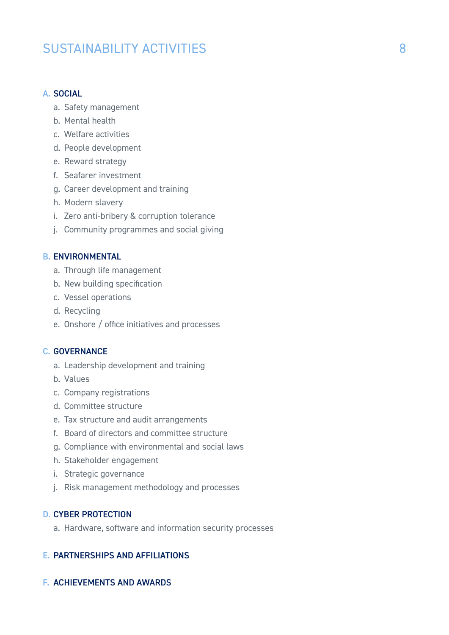## SUSTAINABILITY ACTIVITIES

#### A. SOCIAL

- a. Safety management
- b. Mental health
- c. Welfare activities
- d. People development
- e. Reward strategy
- f. Seafarer investment
- g. Career development and training
- h. Modern slavery
- i. Zero anti-bribery & corruption tolerance
- j. Community programmes and social giving

#### B. ENVIRONMENTAL

- a. Through life management
- b. New building specification
- c. Vessel operations
- d. Recycling
- e. Onshore / office initiatives and processes

### C. GOVERNANCE

- a. Leadership development and training
- b. Values
- c. Company registrations
- d. Committee structure
- e. Tax structure and audit arrangements
- f. Board of directors and committee structure
- g. Compliance with environmental and social laws
- h. Stakeholder engagement
- i. Strategic governance
- j. Risk management methodology and processes

#### D. CYBER PROTECTION

a. Hardware, software and information security processes

#### E. PARTNERSHIPS AND AFFILIATIONS

#### F. ACHIEVEMENTS AND AWARDS